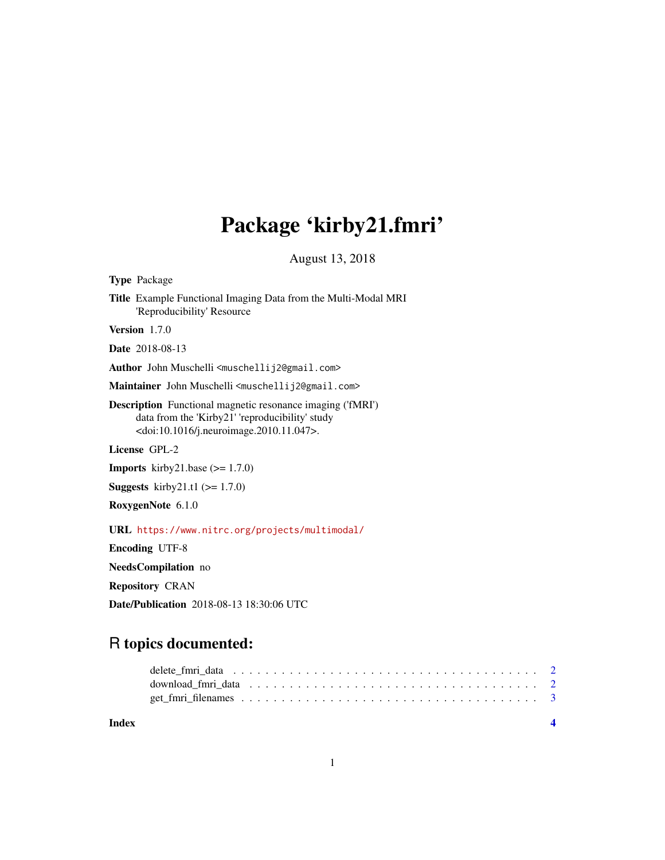## Package 'kirby21.fmri'

August 13, 2018

<span id="page-0-0"></span>

| <b>Type Package</b>                                                                                                                                                              |
|----------------------------------------------------------------------------------------------------------------------------------------------------------------------------------|
| Title Example Functional Imaging Data from the Multi-Modal MRI<br>'Reproducibility' Resource                                                                                     |
| <b>Version</b> $1.7.0$                                                                                                                                                           |
| <b>Date</b> 2018-08-13                                                                                                                                                           |
| Author John Muschelli <muschellij2@gmail.com></muschellij2@gmail.com>                                                                                                            |
| Maintainer John Muschelli <muschellij2@gmail.com></muschellij2@gmail.com>                                                                                                        |
| <b>Description</b> Functional magnetic resonance imaging ('fMRI')<br>data from the 'Kirby21' 'reproducibility' study<br><doi:10.1016 j.neuroimage.2010.11.047="">.</doi:10.1016> |
| License GPL-2                                                                                                                                                                    |
| <b>Imports</b> kirby21.base $(>= 1.7.0)$                                                                                                                                         |
| <b>Suggests</b> kirby 21.t1 ( $> = 1.7.0$ )                                                                                                                                      |
| RoxygenNote 6.1.0                                                                                                                                                                |
| URL https://www.nitrc.org/projects/multimodal/                                                                                                                                   |
| <b>Encoding UTF-8</b>                                                                                                                                                            |
| NeedsCompilation no                                                                                                                                                              |
| <b>Repository CRAN</b>                                                                                                                                                           |
| <b>Date/Publication</b> 2018-08-13 18:30:06 UTC                                                                                                                                  |

### R topics documented:

| delete fmri data $\ldots \ldots \ldots \ldots \ldots \ldots \ldots \ldots \ldots \ldots \ldots \ldots \ldots$ |
|---------------------------------------------------------------------------------------------------------------|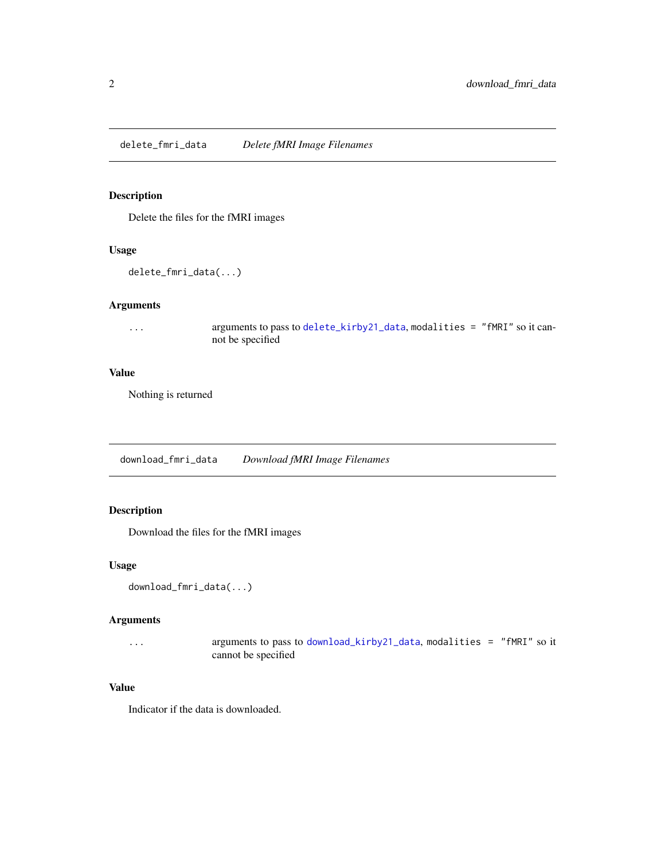<span id="page-1-0"></span>delete\_fmri\_data *Delete fMRI Image Filenames*

#### Description

Delete the files for the fMRI images

#### Usage

delete\_fmri\_data(...)

#### Arguments

... arguments to pass to [delete\\_kirby21\\_data](#page-0-0), modalities = "fMRI" so it cannot be specified

#### Value

Nothing is returned

download\_fmri\_data *Download fMRI Image Filenames*

#### Description

Download the files for the fMRI images

#### Usage

```
download_fmri_data(...)
```
#### Arguments

... arguments to pass to [download\\_kirby21\\_data](#page-0-0), modalities = "fMRI" so it cannot be specified

#### Value

Indicator if the data is downloaded.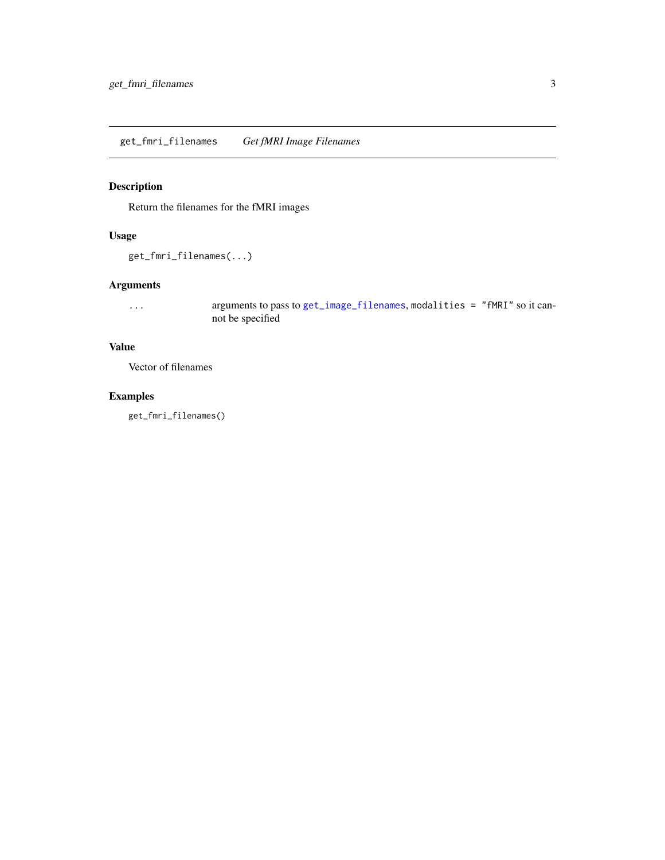<span id="page-2-0"></span>get\_fmri\_filenames *Get fMRI Image Filenames*

### Description

Return the filenames for the fMRI images

#### Usage

get\_fmri\_filenames(...)

#### Arguments

... arguments to pass to [get\\_image\\_filenames](#page-0-0), modalities = "fMRI" so it cannot be specified

### Value

Vector of filenames

### Examples

get\_fmri\_filenames()